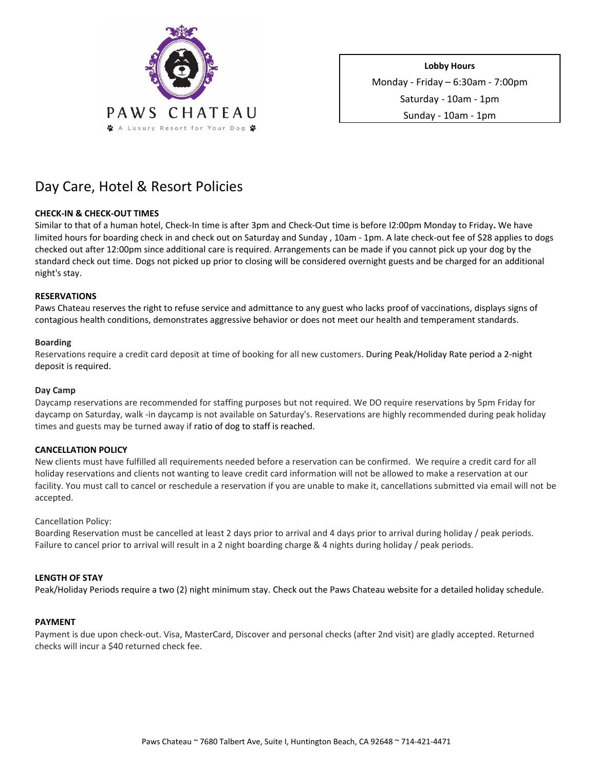

**Lobby Hours**  Monday - Friday – 6:30am - 7:00pm Saturday - 10am - 1pm Sunday - 10am - 1pm

# Day Care, Hotel & Resort Policies

# **CHECK-IN & CHECK-OUT TIMES**

Similar to that of a human hotel, Check-In time is after 3pm and Check-Out time is before I2:00pm Monday to Friday**.** We have limited hours for boarding check in and check out on Saturday and Sunday , 10am - 1pm. A late check-out fee of \$28 applies to dogs checked out after 12:00pm since additional care is required. Arrangements can be made if you cannot pick up your dog by the standard check out time. Dogs not picked up prior to closing will be considered overnight guests and be charged for an additional night's stay.

# **RESERVATIONS**

Paws Chateau reserves the right to refuse service and admittance to any guest who lacks proof of vaccinations, displays signs of contagious health conditions, demonstrates aggressive behavior or does not meet our health and temperament standards.

# **Boarding**

Reservations require a credit card deposit at time of booking for all new customers. During Peak/Holiday Rate period a 2-night deposit is required.

## **Day Camp**

Daycamp reservations are recommended for staffing purposes but not required. We DO require reservations by 5pm Friday for daycamp on Saturday, walk -in daycamp is not available on Saturday's. Reservations are highly recommended during peak holiday times and guests may be turned away if ratio of dog to staff is reached.

# **CANCELLATION POLICY**

New clients must have fulfilled all requirements needed before a reservation can be confirmed. We require a credit card for all holiday reservations and clients not wanting to leave credit card information will not be allowed to make a reservation at our facility. You must call to cancel or reschedule a reservation if you are unable to make it, cancellations submitted via email will not be accepted.

## Cancellation Policy:

Boarding Reservation must be cancelled at least 2 days prior to arrival and 4 days prior to arrival during holiday / peak periods. Failure to cancel prior to arrival will result in a 2 night boarding charge & 4 nights during holiday / peak periods.

# **LENGTH OF STAY**

Peak/Holiday Periods require a two (2) night minimum stay. Check out the Paws Chateau website for a detailed holiday schedule.

## **PAYMENT**

Payment is due upon check-out. Visa, MasterCard, Discover and personal checks (after 2nd visit) are gladly accepted. Returned checks will incur a \$40 returned check fee.